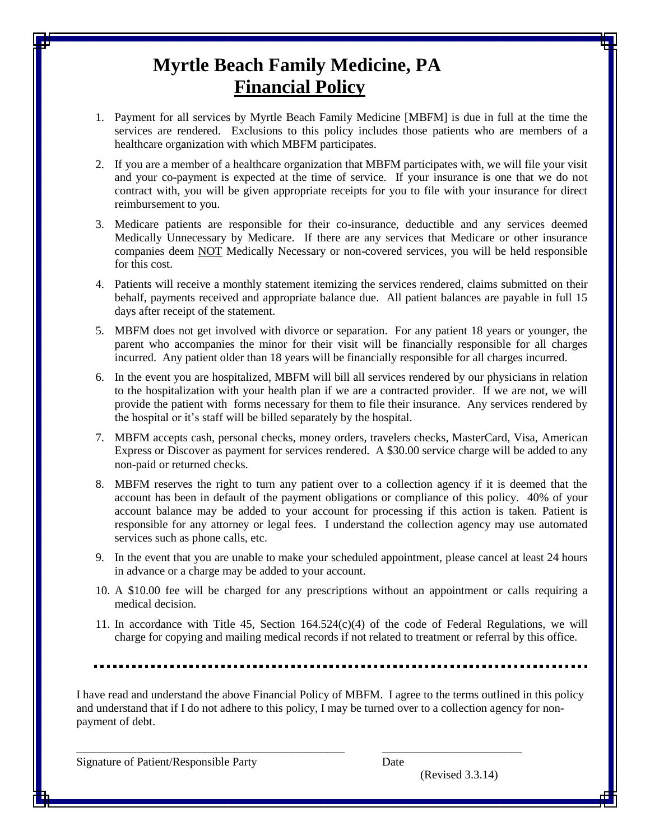## **Myrtle Beach Family Medicine, PA Financial Policy**

- 1. Payment for all services by Myrtle Beach Family Medicine [MBFM] is due in full at the time the services are rendered. Exclusions to this policy includes those patients who are members of a healthcare organization with which MBFM participates.
- 2. If you are a member of a healthcare organization that MBFM participates with, we will file your visit and your co-payment is expected at the time of service. If your insurance is one that we do not contract with, you will be given appropriate receipts for you to file with your insurance for direct reimbursement to you.
- 3. Medicare patients are responsible for their co-insurance, deductible and any services deemed Medically Unnecessary by Medicare. If there are any services that Medicare or other insurance companies deem NOT Medically Necessary or non-covered services, you will be held responsible for this cost.
- 4. Patients will receive a monthly statement itemizing the services rendered, claims submitted on their behalf, payments received and appropriate balance due. All patient balances are payable in full 15 days after receipt of the statement.
- 5. MBFM does not get involved with divorce or separation. For any patient 18 years or younger, the parent who accompanies the minor for their visit will be financially responsible for all charges incurred. Any patient older than 18 years will be financially responsible for all charges incurred.
- 6. In the event you are hospitalized, MBFM will bill all services rendered by our physicians in relation to the hospitalization with your health plan if we are a contracted provider. If we are not, we will provide the patient with forms necessary for them to file their insurance. Any services rendered by the hospital or it's staff will be billed separately by the hospital.
- 7. MBFM accepts cash, personal checks, money orders, travelers checks, MasterCard, Visa, American Express or Discover as payment for services rendered. A \$30.00 service charge will be added to any non-paid or returned checks.
- 8. MBFM reserves the right to turn any patient over to a collection agency if it is deemed that the account has been in default of the payment obligations or compliance of this policy. 40% of your account balance may be added to your account for processing if this action is taken. Patient is responsible for any attorney or legal fees. I understand the collection agency may use automated services such as phone calls, etc.
- 9. In the event that you are unable to make your scheduled appointment, please cancel at least 24 hours in advance or a charge may be added to your account.
- 10. A \$10.00 fee will be charged for any prescriptions without an appointment or calls requiring a medical decision.
- 11. In accordance with Title 45, Section  $164.524(c)(4)$  of the code of Federal Regulations, we will charge for copying and mailing medical records if not related to treatment or referral by this office.

I have read and understand the above Financial Policy of MBFM. I agree to the terms outlined in this policy and understand that if I do not adhere to this policy, I may be turned over to a collection agency for nonpayment of debt.

\_\_\_\_\_\_\_\_\_\_\_\_\_\_\_\_\_\_\_\_\_\_\_\_\_\_\_\_\_\_\_\_\_\_\_\_\_\_\_\_\_\_\_\_\_\_ \_\_\_\_\_\_\_\_\_\_\_\_\_\_\_\_\_\_\_\_\_\_\_\_

Signature of Patient/Responsible Party Date